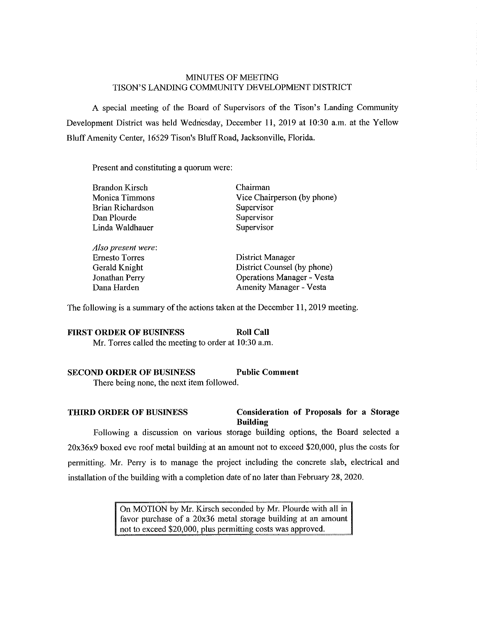# MINUTES OF MEETING TISON'S LANDING COMMUNITY DEVELOPMENT DISTRJCT

A special meeting of the Board of Supervisors of the Tison's Landing Community Development District was held Wednesday, December 11, 2019 at 10:30 a.m. at the Yellow BluffAmenity Center, 16529 Tison's Bluff Road, Jacksonville, Florida.

Present and constituting a quorum were:

| <b>Brandon Kirsch</b> | Chairman                          |
|-----------------------|-----------------------------------|
| Monica Timmons        | Vice Chairperson (by phone)       |
| Brian Richardson      | Supervisor                        |
| Dan Plourde           | Supervisor                        |
| Linda Waldhauer       | Supervisor                        |
| Also present were:    |                                   |
| <b>Ernesto Torres</b> | District Manager                  |
| Gerald Knight         | District Counsel (by phone)       |
| Jonathan Perry        | <b>Operations Manager - Vesta</b> |

The following is a summary of the actions taken at the December 11, 2019 meeting.

Dana Harden **Amenity Manager** - Vesta

# **FIRST ORDER OF BUSINESS Roll Call** Mr. Torres called the meeting to order at 10:30 a.m.

#### **SECOND ORDER OF BUSINESS Public Comment**

There being none, the next item followed.

### **THIRD ORDER OF BUSINESS Consideration of Proposals for a Storage Building**

Following a discussion on various storage building options, the Board selected a 20x36x9 boxed eve roof metal building at an amount not to exceed \$20,000, plus the costs for permitting. Mr. Perry is to manage the project including the concrete slab, electrical and installation of the building with a completion date of no later than February  $28$ ,  $2020$ .

> On MOTION by Mr. Kirsch seconded by Mr. Plourde with all in favor purchase of a 20x36 metal storage building at an amount not to exceed \$20,000, plus permitting costs was approved.